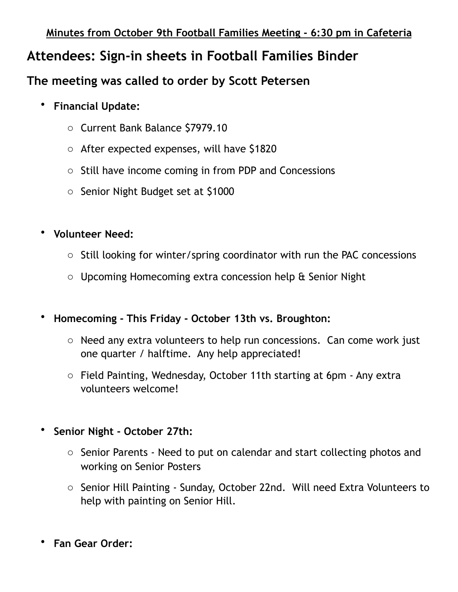## **Attendees: Sign-in sheets in Football Families Binder**

## **The meeting was called to order by Scott Petersen**

- **Financial Update:** 
	- o Current Bank Balance \$7979.10
	- o After expected expenses, will have \$1820
	- o Still have income coming in from PDP and Concessions
	- o Senior Night Budget set at \$1000
- **Volunteer Need:** 
	- o Still looking for winter/spring coordinator with run the PAC concessions
	- o Upcoming Homecoming extra concession help & Senior Night
- **Homecoming This Friday October 13th vs. Broughton:** 
	- o Need any extra volunteers to help run concessions. Can come work just one quarter / halftime. Any help appreciated!
	- o Field Painting, Wednesday, October 11th starting at 6pm Any extra volunteers welcome!
- **Senior Night October 27th:** 
	- o Senior Parents Need to put on calendar and start collecting photos and working on Senior Posters
	- o Senior Hill Painting Sunday, October 22nd. Will need Extra Volunteers to help with painting on Senior Hill.
- **Fan Gear Order:**